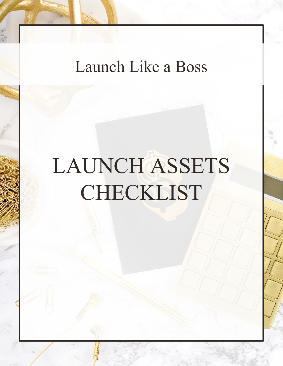## Launch Like a Boss

# LAUNCH ASSETS CHECKLIST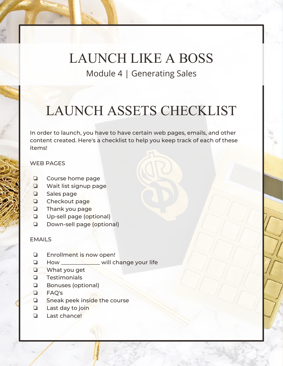LAUNCH LIKE A BOSS Module 4 | Generating Sales

### LAUNCH ASSETS CHECKLIST

In order to launch, you have to have certain web pages, emails, and other content created. Here's a checklist to help you keep track of each of these items!

#### WEB PAGES

- ❏ Course home page
- ❏ Wait list signup page
- ❏ Sales page
- ❏ Checkout page
- ❏ Thank you page
- ❏ Up-sell page (optional)
- ❏ Down-sell page (optional)

#### EMAILS

- ❏ Enrollment is now open!
- ❏ How \_\_\_\_\_\_\_\_\_\_\_\_\_\_ will change your life
- ❏ What you get
- ❏ Testimonials
- ❏ Bonuses (optional)
- ❏ FAQ's
- ❏ Sneak peek inside the course
- ❏ Last day to join
- ❏ Last chance!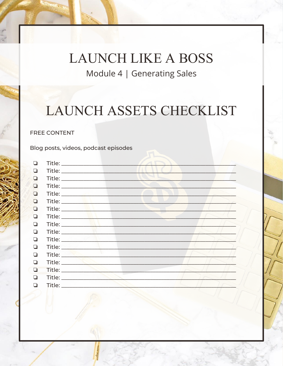**LAUNCH LIKE A BOSS** Module 4 | Generating Sales

### LAUNCH ASSETS CHECKLIST

#### **FREE CONTENT**

Blog posts, videos, podcast episodes

| ◘      |                                                                                                                                                                                                                                      |  |
|--------|--------------------------------------------------------------------------------------------------------------------------------------------------------------------------------------------------------------------------------------|--|
| ❏      |                                                                                                                                                                                                                                      |  |
| ❏      |                                                                                                                                                                                                                                      |  |
| $\Box$ |                                                                                                                                                                                                                                      |  |
| $\Box$ |                                                                                                                                                                                                                                      |  |
| $\Box$ |                                                                                                                                                                                                                                      |  |
| $\Box$ | Title: Albert March 1998                                                                                                                                                                                                             |  |
| ❏      |                                                                                                                                                                                                                                      |  |
| $\Box$ |                                                                                                                                                                                                                                      |  |
| ◘      |                                                                                                                                                                                                                                      |  |
| $\Box$ | Title: will be a series of the series of the series of the series of the series of the series of the series of                                                                                                                       |  |
| $\Box$ |                                                                                                                                                                                                                                      |  |
| ◘      | Title: <b>All Marshall</b>                                                                                                                                                                                                           |  |
| □      | Title: <b>All Accounts</b> and the second second second second second second second second second second second second second second second second second second second second second second second second second second second sec  |  |
| $\Box$ | Title: <b>Album</b>                                                                                                                                                                                                                  |  |
| □      |                                                                                                                                                                                                                                      |  |
| П      | Title: <b>The Community of the Community of the Community of the Community of the Community of the Community of the Community of the Community of the Community of the Community of the Community of the Community of the Commun</b> |  |
|        |                                                                                                                                                                                                                                      |  |